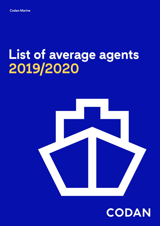# **List of average agents 2019/2020**



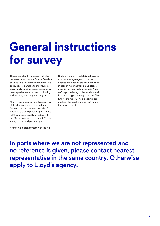# **General instructions for survey**

The master should be aware that when the vessel is insured on Danish, Swedish or Nordic hull insurance conditions, the policy covers damage to the Insured's vessel and any other property struck by that ship whether it be fixed or floating such as ship, pier, dolphin, buoy etc.

At all times, please ensure that a survey of the damaged object is conducted. Contact the Hull Underwriters also for survey of the third party property. Note – if the collision liability is resting with the P&I insurers, please contact P&I for survey of the third party property.

Underwriters is not established, ensure that our Average Agent at the port is notified promptly of the accident, even in case of minor damage, and please provide full reports, log extracts, Master's report relating to the incident and in case of engine damage also the Chief Engineer's report. The quicker we are notified, the quicker we can act to protect your interests.

If for some reason contact with the Hull

In ports where we are not represented and no reference is given, please contact nearest representative in the same country. Otherwise apply to Lloyd's agency.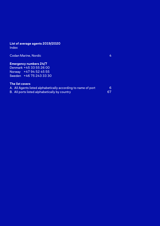## **List of average agents 2019/2020**

Index

| <b>Emergency numbers 24/7</b> |  |
|-------------------------------|--|
| Denmark +45 33 55 26 00       |  |
| Norway +47 94 52 45 55        |  |
| Sweden +46 75 243 33 30       |  |

| A. All Agents listed alphabetically according to name of port |    |
|---------------------------------------------------------------|----|
| B.All ports listed alphabetically by country                  | 67 |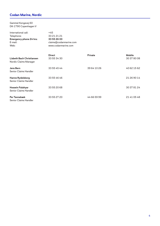### **Codan Marine, Nordic**

Gammel Kongevej 60 DK-1790 Copenhagen V

| International call:<br>Telephone:<br><b>Emergency phone 24 hrs:</b><br>$E$ -mail:<br>Web: | $+45$<br>33 21 21 21<br>33 55 26 00<br>claims@codanmarine.com<br>www.codanmarine.com |                |                              |
|-------------------------------------------------------------------------------------------|--------------------------------------------------------------------------------------|----------------|------------------------------|
| <b>Lisbeth Bach Christiansen</b><br>Nordic Claims Manager                                 | <b>Direct</b><br>33 55 34 30                                                         | <b>Private</b> | <b>Mobile</b><br>30 37 80 08 |
| Jens Bern<br><b>Senior Claims Handler</b>                                                 | 33 55 45 44                                                                          | 39 64 10 26    | 40 62 15 62                  |
| <b>Hanne Rydelsborg</b><br><b>Senior Claims Handler</b>                                   | 33 55 46 46                                                                          |                | 21 26 90 14                  |
| Hossein Falahyar<br>Senior Claims Handler                                                 | 33 55 20 68                                                                          |                | 30 37 81 24                  |
| Per Tannebæk<br><b>Senior Claims Handler</b>                                              | 33 55 27 20                                                                          | 44 66 59 99    | 21 41 05 48                  |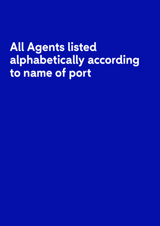# **All Agents listed alphabetically according to name of port**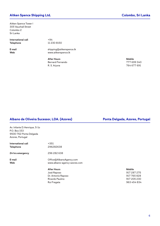#### **Aitken Spence Shipping Ltd. Colombo, Sri Lanka**

Aitken Spence Tower I 305 Vauxhall Street Colombo 2 Sri Lanka

**International call** +94 **Telephone** 11 230 8150

**E-mail** shipping@aitkenspence.lk **Web** www.aitkenspence.lk

> **After Hours Mobile** Bernard Fernando 777 699 340 R. S. Arjuna 764 677 691

#### **Albano de Oliveira Sucessor, LDA. (Azores) Ponta Delgada, Azores, Portugal**

Av. Infante D.Henrique, 5-1o P.O. Box 153 9500-762 Ponta Delgada Azores, Portugal

| International call | $+351$                       |               |
|--------------------|------------------------------|---------------|
| Telephone          | 296282638                    |               |
| 24 hrs emergency   | 296 282 638                  |               |
| E-mail             | Office@AlbanoAgency.com      |               |
| Web                | www.albano-agency-azores.com |               |
|                    | <b>After Hours</b>           | <b>Mobile</b> |
|                    | José Raposo                  | 917 287 275   |
|                    | Dr. Antonio Raposo           | 917 765 828   |

Ricardo Paulino **Rui Fragata** 

| Mobile      |
|-------------|
| 917 287 275 |
| 917 765 828 |
| 917 205 230 |
| 963 454 834 |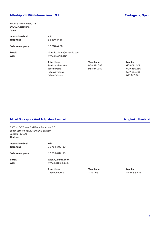### **Alfaship VIKING Internacional, S.L. Cartagena, Spain**

Travesia Los Vientos, 1-3 30202 Cartagena Spain

| International call<br><b>Telephone</b> | $+34$<br>868104438                               |                  |               |
|----------------------------------------|--------------------------------------------------|------------------|---------------|
| 24 hrs emergency                       | 868104438                                        |                  |               |
| E-mail<br><b>Web</b>                   | alfaship.viking@alfaship.com<br>www.alfaship.com |                  |               |
|                                        | <b>After Hours</b>                               | <b>Telephone</b> | <b>Mobile</b> |
|                                        | Patricia Siljeström                              | 968 312595       | 609 081408    |
|                                        | Jose Barcelo                                     | 968 541782       | 609892280     |

Pablo Arnaldos Pablo Calderon

**Allied Surveyors And Adjusters Limited Bangkok, Thailand**

| 43 Thai CC Tower. 3rd Floor. Room No. 30 |  |
|------------------------------------------|--|
| South Sathorn Road. Yannawa. Sathorn     |  |
| Bangkok 10120                            |  |
| Thailand                                 |  |
|                                          |  |

|                    | After Hours          |
|--------------------|----------------------|
| E-mail             | allied@loxinfo.co.th |
| Web                | www.alliedbkk.com    |
| 24 hrs emergency   | 26756707-10          |
| International call | +66                  |
| Telephone          | 26756707-10          |

Chookul Puthai 2 391 5577 81 643 3805

**After Hours Telephone Mobile**

| 968 312595 | 609 081408 |
|------------|------------|
| 968 541782 | 609 892280 |
|            | 697 814981 |
|            | 619 861846 |
|            |            |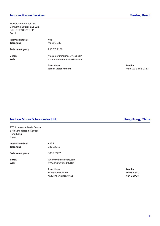### **Amorim Marine Services Santos, Brazil**

Rua Cruzeiro do Sul 168 Condominia Haras Sao Luiz Salto CEP 13329-132 Brazil

| International call<br><b>Telephone</b> | $+55$<br>40 298 333                                          |                          |
|----------------------------------------|--------------------------------------------------------------|--------------------------|
| 24 hrs emergency                       | 993 73 2129                                                  |                          |
| E-mail<br><b>Web</b>                   | jva@amorimmarineservices.com<br>www.amorimmarineservices.com |                          |
|                                        | <b>After Hours</b><br>Jørgen Victor Amorim                   | <b>Mobile</b><br>$+5511$ |

Jørgen Victor Amorim +55 119 9468 0133

### Andrew Moore & Associates Ltd. **Andrew Moore & Associates Ltd. Hong Kong, China**

| 2703 Universal Trade Centre |
|-----------------------------|
| 3 Arbuthnot Road, Central   |
| Hong Kong                   |
| China                       |

| International call | +852      |
|--------------------|-----------|
| <b>Telephone</b>   | 28613313  |
|                    |           |
| 24 hrs emergency   | 2807 2927 |

**E-mail** lahk@andrew-moore.com **Web** www.andrew-moore.com

> **After Hours Mobile** Michael McCollam 2008 8680 Ka Kiong (Anthony) Yap **6142 8929**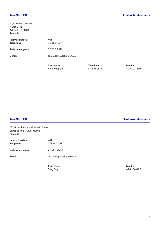| 17, Kurrambi Cresent<br><b>Hallet Cove</b><br>Adelaide 5158 SA<br>Australia |                                      |                                       |                              |
|-----------------------------------------------------------------------------|--------------------------------------|---------------------------------------|------------------------------|
| International call<br>Telephone                                             | $+61$<br>883811177                   |                                       |                              |
| 24 hrs emergency                                                            | 882352511                            |                                       |                              |
| E-mail                                                                      | adelaide@ausship.com.au              |                                       |                              |
|                                                                             | <b>After Hours</b><br>Nello Magliulo | <b>Telephone</b><br>8 8 3 8 1 1 1 7 7 | <b>Mobile</b><br>403 024 561 |

13 Micrantha Place Mountain Creek Brisbane 4557, Queensland Australia

| International call<br><b>Telephone</b> | $+61$<br>478 184 698    |
|----------------------------------------|-------------------------|
| 24 hrs emergency                       | 754507663               |
| E-mail                                 | brisbane@ausship.com.au |
|                                        |                         |

**After Hours Mobile**

**Aus Ship P&I Brisbane, Australia**

Greg Pugh **478 184 698**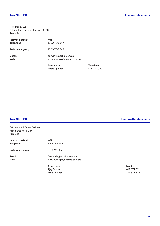P. O. Box 1302 Palmerston, Northern Territory 0830 Australia

| International call | +61                         |
|--------------------|-----------------------------|
| <b>Telephone</b>   | 1300 736 647                |
| 24 hrs emergency   | 1300 736 647                |
| E-mail             | darwin@ausship.com.au       |
| Web                | www.ausship@ausship.com.au  |
|                    | After Hours<br>Abdul Quader |

**After Hours Telephone** 418 797059

48 Henry Bull Drive, Bullcreek Freemanle WA 6149 Australia

|                                        | <b>After Hours</b>         | Mobile |
|----------------------------------------|----------------------------|--------|
| <b>Web</b>                             | www.ausship@ausship.com.au |        |
| E-mail                                 | fremantle@ausship.com.au   |        |
| 24 hrs emergency                       | 893191287                  |        |
| International call<br><b>Telephone</b> | $+61$<br>893398222         |        |

Ajay Tondon 411 871 311 Fred De Rooij 411 871 312

**Aus Ship P&I Fremantle, Australia**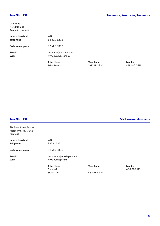#### **Aus Ship P&I Tasmania, Australia, Tasmania**

Ulvertone P. O. Box 338 Australia, Tasmania

|                    | After Hours          |
|--------------------|----------------------|
| E-mail             | tasmania@ausship.com |
| Web                | www.ausship.com.au   |
| 24 hrs emergency   | 364293390            |
| International call | +61                  |
| <b>Telephone</b>   | 364293272            |

**After Hours Telephone Mobile** Brian Peters 3 6429 3334 418 140 085

2B, Ross Street, Toorak Melbourne, VIC 3142 Australia

**International call**  $+61$ **Telephone** 9824 1622 **24 hrs emergency** 3 6429 3390 **E-mail** melbourne@ausship.com.au **Web** www.ausship.com

**After Hours Telephone Mobile**<br>
Chris Will 438 98

Stuart Will 438 982 222

**Aus Ship P&I Melbourne, Australia**

Chris Will 438 982 111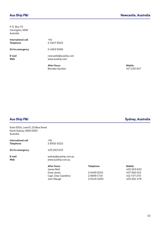Australia

| International call<br><b>Telephone</b> | $+61$<br>249479025                       |               |
|----------------------------------------|------------------------------------------|---------------|
| 24 hrs emergency                       | 249635596                                |               |
| E-mail<br><b>Web</b>                   | newcastle@ausship.com<br>www.ausship.com |               |
|                                        | <b>After Hours</b>                       | <b>Mobile</b> |
|                                        | <b>Drandon Quinlan</b>                   | 117.21        |

Brendan Quinlan 417 235 947

Suite 502a, Level 5, 15 Blue Street North Sydney, NSW 2060 Australia

| International call | $+61$                             |
|--------------------|-----------------------------------|
| <b>Telephone</b>   | 289203222                         |
| 24 hrs emergency   | 425 263 633                       |
| E-mail             | sydney@ausship.com.au             |
| Web                | www.ausship.com.au                |
|                    | <b>After Hours</b><br>James Neill |

| After Hours           | <b>Telephone</b> | Mobile      |
|-----------------------|------------------|-------------|
| James Neill           |                  | 425 263 633 |
| Drew James            | 294892015        | 407892015   |
| Capt. Olav Castellino | 298991719        | 412 737 270 |
| John Waugh            | 294494550        | 425 264 479 |
|                       |                  |             |

**Aus Ship P&I Sydney, Australia**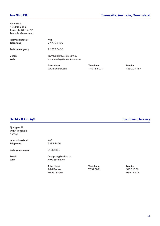### **Aus Ship P&I Townsville, Australia, Queensland**

HermitPark P. O. Box 3563 Townsville QLD 4812 Australia, Queensland

| International call | $+61$                                 |
|--------------------|---------------------------------------|
| <b>Telephone</b>   | 747725460                             |
| 24 hrs emergency   | 7 4772 5460                           |
| E-mail             | townsville@ausship.com.au             |
| Web                | www.ausship@ausship.com.au            |
|                    | <b>After Hours</b><br>Wwilliam Dawson |

**After Hours Telephone Mobile** Wwilliam Dawson 7 4778 8017 419 203 787

### **Bachke & Co. A/S Trondheim, Norway**

Fjordgata 11 7010 Trondheim Norway

| International call | +47            |
|--------------------|----------------|
| <b>Telephone</b>   | 7399 2850      |
| 24 hrs emergency   | 91351826       |
| E-mail             | firmapost@bacl |
| Web                | www.bachke.no  |

**E-mail** firmapost@bachke.no

**After Hours Telephone Mobile** Arild Bachke Frode Løfaldli 9597 8212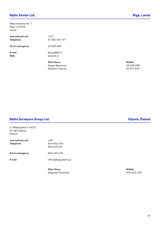### **Baltic Kontor Ltd. Riga, Latvia**

Maza Aluksnes Str. 7 Riga, LV-1045 Latvia

|                                        | <b>After Hours</b>        | <b>Mobile</b> |
|----------------------------------------|---------------------------|---------------|
| E-mail<br><b>Web</b>                   | bkriga@bk.lv<br>www.bk.lv |               |
| 24 hrs emergency                       | 29 205 680                |               |
| International call<br><b>Telephone</b> | $+371$<br>67 381 463 -67  |               |

Sergey Batmanov 29 205 680 Veniamin Chlenov 29 517 849

#### **Baltic Surveyors Group Ltd. Gdynia, Poland**

ul. Wladyslawa IV 49/12 81-384 Gdynia Poland

| International call | +48                  |
|--------------------|----------------------|
| <b>Telephone</b>   | 604 402 439          |
|                    | 586 618 031          |
| 24 hrs emergency   | 604 402 439          |
| E-mail             | office@bsg-gdynia.pl |
|                    |                      |

**After Hours Mobile** Zbigniew Piotrowski 604 402 439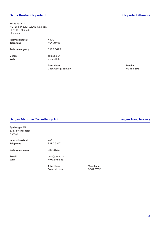### **Baltik Kontor Klaipeda Ltd. Klaipeda, Lithuania**

Tilzes Str. 8 - 2 P.O. Box 445, LT-92003 Klaipeda LT-91132 Klaipeda Lithuania

| International call<br><b>Telephone</b> | $+370$<br>46410498                         |                        |
|----------------------------------------|--------------------------------------------|------------------------|
| 24 hrs emergency                       | 69888695                                   |                        |
| E-mail<br><b>Web</b>                   | bkk@bkk.lt<br>www.bkk.lt                   |                        |
|                                        | <b>After Hours</b><br>Capt Georgii Zarubin | <b>Mobile</b><br>69881 |

Capt. Georgij Zarubin 6988 8695

### **Bergen Maritime Consultancy AS Bergen Area, Norway**

| Spelhaugen 15<br>5157 Fyllingsdalen<br>Norway |                  |
|-----------------------------------------------|------------------|
| International call<br><b>Telephone</b>        | +47<br>9280 5107 |
| 24 hrs emergency                              | 93013752         |
| E-mail                                        | post@b-m-c.no    |

**Web** www.b-m-c.no

**After Hours Telephone** Svein Jakobsen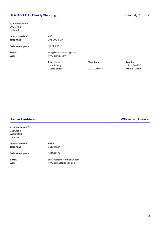### **BLATAS LDA - Blandy Shipping The Contract of the Contract of Tunchal, Portugal**

2, Avenida Zarco 9001-956 Portugal

| <b>Telephone</b><br>24 hrs emergency | 291 200 600<br>96 627 1610                |                  |                        |
|--------------------------------------|-------------------------------------------|------------------|------------------------|
| E-mail<br><b>Web</b>                 | info@blandyshipping.com<br>www.blandy.com |                  |                        |
|                                      | <b>After Hours</b><br>Chris Blandy        | <b>Telephone</b> | <b>Mobile</b><br>29120 |

Duarte Serrão 291 200 647 966 271 610

Kaya Beethoven 7 Cas Grandi Willemstad Curacao

| International call | +599     |
|--------------------|----------|
| <b>Telephone</b>   | 95138524 |
| 24 hrs emergency   | 95138524 |

**E-mail** peter@bramarcaribbean.com **Web** www.dekracaribbean.com

### **Bramar Caribbean Wllemstad, Curacao**

291 200 600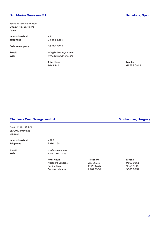### **Bull Marine Surveyors S.L. Barcelona, Spain**

Paseo de la Riera 81 Bajos 08320 Teia, Barcelona Spain

| International call<br><b>Telephone</b> | $+34$<br>93 555 6259                            |               |
|----------------------------------------|-------------------------------------------------|---------------|
| 24 hrs emergency                       | 93 555 6259                                     |               |
| E-mail<br><b>Web</b>                   | info@bullsurveyors.com<br>www.bullsurveyors.com |               |
|                                        | <b>After Hours</b>                              | <b>Mobile</b> |
|                                        | $E \cup L \subseteq D \cup U$                   | 61.755        |

Erik S. Bull 61 753 0462

#### **Chadwick Weir Navegacion S.A. Montevideo, Uruguay**

Colón 1498, off. 202 11000 Montevideo Uruguay

International call **+598 Telephone** 2916 1168

**E-mail** chw@chw.com.uy **Web** www.chw.com.uy

> After Hours **Mobile Telephone Mobile** Alejandro Laborde 2711 5219 9560 9651 Bettina Polo Enrique Laborde 2481 2980 9251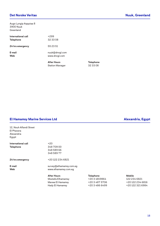### **Det Norske Veritas Nuuk, Greenland**

Augo Lyngip Aqqutaa 8 3900 Nuuk Greenland

|                    | <b>After Hours</b> |
|--------------------|--------------------|
| E-mail             | nuuk@dnvgl.com     |
| Web                | www.dnvgl.com      |
| 24 hrs emergency   | 55 23 51           |
| International call | $+299$             |
| Telephone          | 32 33 08           |

Station Manager 32 33 08

**After Hours Telephone**

#### **El Hamamsy Marine Services Ltd Alexandria, Egypt**

| 12, Nouh Alfandi Street |
|-------------------------|
| El Pharana              |
| Alexandria              |
| Egypt                   |

| International call | $+20$                   |                  |                  |
|--------------------|-------------------------|------------------|------------------|
| Telephone          | 34870900                |                  |                  |
|                    | 348 589 66              |                  |                  |
|                    | 348 589 77              |                  |                  |
| 24 hrs emergency   | +20 122 234 6821        |                  |                  |
| E-mail             | survey@elhamamsy.com.eg |                  |                  |
| Web                | www.elhamamsy.com.eg    |                  |                  |
|                    | <b>After Hours</b>      | <b>Telephone</b> | <b>Mobile</b>    |
|                    | Mostafa Elhamamsy       | +2034819864      | 122 234 6821     |
|                    | Marwa El Hamamsy        | +20 3 487 5706   | +20 122 234 6816 |
|                    | Hady El Hamamsy         | +2034866499      | +20 122 321 6984 |
|                    |                         |                  |                  |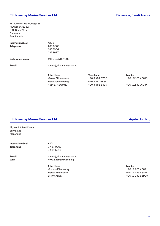#### **El Hamamsy Marine Services Ltd Dammam, Saudi Arabia**

El Toubishy District, Nagd St ALKhobar 31952 P. O. Box 77217 Dammam Saudi Arabia

| E-mail                                 |
|----------------------------------------|
| 24 hrs emergency                       |
| International call<br><b>Telephone</b> |
|                                        |

After Hours **Mobile Telephone Mobile** Marwa El Hamamsy  $+2034875706$   $+201222346816$ Mostafa Elhamamsy +20 3 481 9864 Hady El Hamamsy +20 3 486 6499 +20 122 321 698**4**

#### **El Hamamsy Marine Services Ltd Aqaba Jordan,**

12, Nouh Alfandi Street El Pharana Alexandria

**International call**  $+20$ **Telephone** 3 487 0900

3 487 6813

**E-mail** survey@elhamamsy.com.eg **Web** www.elhamamsy.com.eg

> **After Hours Mobile** Beshr Shahin +20 12 2323 5929

Mostafa Elhamamsy +20 12 2234 6821 Marwa Elhamamsy +20 12 2234 6816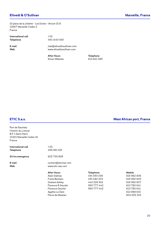### **Eltvedt & O'Sullivan Marseille, France**

10 place de la Joliette – Les Docks – Atrium 10.8 13567 Marseille Cedex 2 France

**International call**  $+33$ **Telephone** 491 1440 460

**E-mail** mail@eltvedtosullivan.cmo **Web** www.eltvedtosullivan.com

> **After Hours Telephone** Simon Webster 613 621 389

Port de Saumaty Chemin du Littoral B.P. 1 Saint-Henri 13321 Marseille Cedex 16 France

**International call**  $+33$ **Telephone** 495 061 192

**24 hrs emergency** 625 730 808

**E-mail** contact@eticmar.com **Web** www.etic-sas.com

| After Hours               | <b>Telephone</b> | <b>Mobile</b> |
|---------------------------|------------------|---------------|
| Alain Dalmas              | 491594036        | 616 962 836   |
| Frank Benham              | 491482323        | 616 962 849   |
| Graham Ashley             | 442 226 912      | 616 962 837   |
| <b>Florence R Gourlet</b> | 950 777 442      | 613 780 041   |
| <b>Florence Gourlet</b>   | 950 777 442      | 613 780 041   |
| Agathe Le Dem             |                  | 612 888 615   |
| Pierre de Massiac         |                  | 604 593 315   |

### **ETIC S.a.s. West African port, France**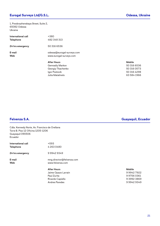### **Eurogal Surveys Ltd/G.S.L. Odessa, Ukraine**

1, Preobrazhenskaya Street, Suite 2, 65082 Odessa Ukraine

| International call<br><b>Telephone</b> | $+380$<br>482 348 313                                 |               |
|----------------------------------------|-------------------------------------------------------|---------------|
| 24 hrs emergency                       | 50 316 6536                                           |               |
| E-mail<br><b>Web</b>                   | odessa@eurogal-surveys.com<br>www.eurogal-surveys.com |               |
|                                        | <b>After Hours</b>                                    | <b>Mobile</b> |
|                                        | <b>Gennadiy Markov</b>                                | 50 316        |
|                                        | Georgiy Tkachenko                                     | 50 316        |
|                                        | المنافذ والمستحدث والمستحدث والمستنا                  | $E \cap 21$   |

Julia Matalinets

50 316 6536 50 316 0573 Igor Postovik 50 316 4298

### **Felvenza S.A. Guayaquil, Ecuador**

| Cdla. Kennedy Norte, Av. Francisco de Orellana<br>Torre B. Piso 12 Oficina 1205-1206<br>Guayaquil 090506<br>Ecuador |                           |               |
|---------------------------------------------------------------------------------------------------------------------|---------------------------|---------------|
| International call                                                                                                  | $+593$                    |               |
| Telephone                                                                                                           | 42630480                  |               |
| 24 hrs emergency                                                                                                    | 999429349                 |               |
| E-mail                                                                                                              | mng.director@felvenza.com |               |
| Web                                                                                                                 | www.felvenza.com          |               |
|                                                                                                                     | <b>After Hours</b>        | <b>Mobile</b> |
|                                                                                                                     | Jaime Opazo Larrain       | 999427922     |
|                                                                                                                     | Paul Zurita               | 997560361     |
|                                                                                                                     | Ricardo Capiello          | 939923869     |
|                                                                                                                     | <b>Andres Paredes</b>     | 999429349     |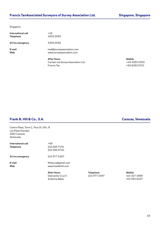Singapore

| International call<br><b>Telephone</b> | $+45$<br>33932593                                       |               |
|----------------------------------------|---------------------------------------------------------|---------------|
| 24 hrs emergency                       | 33932593                                                |               |
| E-mail<br><b>Web</b>                   | mail@surveyassociation.com<br>www.surveyassociation.com |               |
|                                        | <b>After Hours</b>                                      | <b>Mobile</b> |
|                                        | Contact via Survey Association Ltd.                     | +45 3393 2593 |
|                                        | Francis Tan                                             | +65 8383 8721 |

### **Frank B. Hill & Co., S.A. Caracas, Venezuela**

Centro Plaza, Torre C, Piso 15, Ofic. B Los Palos Grandes 1062 Caracas Venezuela

| International call | $+58$              |
|--------------------|--------------------|
| <b>Telephone</b>   | 212 285 7176       |
|                    | 212 285 8734       |
| 24 hrs emergency   | 212 977 2387       |
| E-mail             | fbhlaccs@gmail.com |
| Web                | www.frankbhill.com |
|                    | <b>After Hours</b> |
|                    | Giancarlos Cruz V. |
|                    | Andreina Baker     |

**After Hours Telephone Mobile** Giancarlos Cruz V. 212 977 2387 414 327 4889 412 953 9427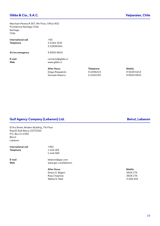Marchant Pereira # 367, 9th Floor, Office 902 Providencia Santiago-Chile Santiago Chile

| International call<br><b>Telephone</b> | +56<br>2 2484 1515                |
|----------------------------------------|-----------------------------------|
|                                        | 222696364                         |
| 24 hrs emergency                       | 989208610                         |
| E-mail<br>Web                          | contacto@gibbs.cl<br>www.gibbs.cl |
|                                        | <b>After Hours</b>                |
|                                        | Diego Risopatrón                  |
|                                        | Gonzalo Navarro                   |

| <b>Gulf Agency Company (Lebanon) Ltd.</b> |  |  |  |  |
|-------------------------------------------|--|--|--|--|
|                                           |  |  |  |  |

El Arz Street, Modern Building, 7th Floor Riad El Solh Beirut 11072160 P.O. Box 11-4392 Beirut Lebanon

International call  $+961$ **Telephone** 1 446 189

1 446 086

**E-mail** lebanon@gac.com **Web** www.gac.com/lebanon

> **After Hours Mobile** Simon G. Bejjani 3606 175 Rosy Chaanine 3606 176 Wafaa N. Radi 3 266 618

### **Beirut, Lebanon**

**After Hours Telephone Mobile**

Diego Risopatrón 9 2286213 9 9228 6213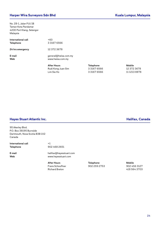#### **Harper Wira Surveyors Sdn Bhd Kuala Lumpur, Malaysia**

No. 28-1, Jalan PJU 1B Taman Kota Pandamar 4200 Port Klang, Selangor Malaysia

| International call | +60                                      |
|--------------------|------------------------------------------|
| <b>Telephone</b>   | 331676566                                |
| 24 hrs emergency   | 12 372 3678                              |
| E-mail             | general@hwisa.com.my                     |
| Web                | www.hwisa.com.my                         |
|                    | <b>After Hours</b><br>Rudi Kong Juan Sim |

**After Hours Telephone Mobile** Rudi Kong Juan Sim 12 372 3678 Lim Sia Ho 3 3167 6566 11 1213 8878

### **Hayes Stuart Atlantic Inc. Halifax, Canada**

95 Akerley Blvd. P.O. Box 38195 Burnside Dartmouth, Nova Scotia B3B 1X2 Canada

**International call** +1 **Telephone** 902 468 2651

**E-mail** halifax@hayesstuart.com **Web** www.hayesstuart.com

> **After Hours**<br> **After Hours**<br> **Frans Schouffoer**<br> **After Hours**<br> **Pour Algebra 259 2753**<br> **Pour Algebra 259 2753**<br> **Pour Algebra 26 2753** Frans Schouffoer Richard Breton 418 564 3703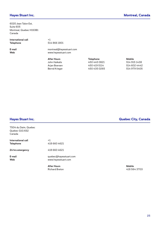6020 Jean Talon Est, Suite 605 Montreal, Quebec H1S3B1 Canada

**International call** +1 **Telephone** 514 866 1801

**E-mail** montreal@hayesstuart.com **Web** www.hayesstuart.com

| <b>Telephone</b> | Mobile       |
|------------------|--------------|
| 450 445 0821     | 514 915 1438 |
| 450 419 5114     | 514 602 4442 |
| 450 435 0265     | 514 979 5405 |
|                  |              |

7504 du Daim, Quebec Quebec G1G 6S2 Canada

| International call | $+1$                   |
|--------------------|------------------------|
| <b>Telephone</b>   | 418 660 4621           |
| 24 hrs emergency   | 418 660 4621           |
| E-mail             | quebec@hayesstuart.com |
| Web                | www.hayesstuart.com    |

**After Hours Mobile** Richard Breton 418 564 3703

**Hayes Stuart Inc. Quebec City, Canada**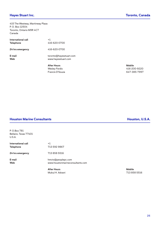### **Hayes Stuart Inc. Toronto, Canada**

415 The Westway, Martinway Plaza P. O. Box 12504 Toronto, Ontario M9R 4C7 Canada

| International call<br><b>Telephone</b> | $+1$<br>416-620-0700                           |               |
|----------------------------------------|------------------------------------------------|---------------|
| 24 hrs emergency                       | 416-620-0700                                   |               |
| E-mail<br><b>Web</b>                   | toronto@hayesstuart.com<br>www.hayesstuart.com |               |
|                                        | <b>After Hours</b>                             | <b>Mobile</b> |
|                                        | <b>Wesley Ferdis</b>                           | $416 - 20$    |
|                                        | Francis D'Souza                                | 647-3         |

Wesley Ferdis 416-200-9220 647-385-7997

#### **Houston Marine Consultants Houston, U.S.A.**

P. O.Box 781 Bellaire, Texas 77401 U.S.A.

| International call | $+1$         |
|--------------------|--------------|
| Telephone          | 713 592 9867 |
| 24 hrs emergency   | 713 858 5516 |

**E-mail** hmctx@peoplepc.com **Web** www.houstonmarineconsultants.com

> **After Hours Mobile** Mukul H. Advani 713 858 5516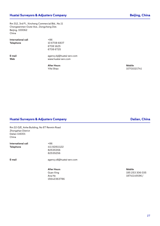Rm 312, 3rd Fl., Xincheng Commercial Bld., No.11 Chongwenmen Outer Ave., Dongcheng Dist. Beijing. 100062 China

**International call**  $+86$ **Telephone** 10 6708 6837

6708 1625 6708 6725

**E-mail** agency.bj@huatai-serv.com **Web** www.huatai-serv.com

**After Hours Mobile**

Yifei Shao 10701021741

#### **Huatai Surveyors & Adjusters Company Dalian, China**

Rm 22-D/E, Anhe Building, No 87 Renmin Road Zhongshan District Dalian 116001 China

**International call**  $+86$ **Telephone** 411 82811122

82535356 82535256

**E-mail** agency.dl@huatai-serv.com

**After Hours Mobile** 15642363786

Guan Xing 185 253 306 035 Ana He 18741149196 /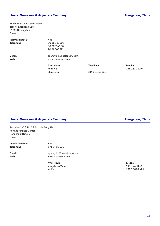Room 2110, Jun Yuan Mansion Tian he East Road 155 510620 Gangzhou China

**International call**  $+86$ **Telephone** 20 388 12306

20 38814366 20 38805511

**E-mail** agency.gz@huatai-serv.com **Web** www.huatai-serv.com

> After Hours **Mobile Telephone Mobile** Stephie Cui 134 354 46330

Feng Xia 138 261 22194

#### **Huatai Surveyors & Adjusters Company Hangzhou, China**

Room No.1406, No.37 East Jie Fang RD Fortune Finance Center, Hangzhou 310016 China

**International call**  $+86$ **Telephone** 571 8755 6027

**E-mail** agency.hz@huatai-serv.com **Web** www.huatai-serv.com

> **After Hours Mobile** Yongzhong Yang 1996 7423 661 Yu Xia 1395 8078 424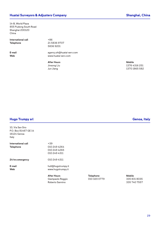### **Huatai Surveyors & Adjusters Company Shanghai, China**

14-B, World Plaza 855 Pudong South Road Shanghai 200120 China

**International call** +86 **Telephone** 21 5836 9707

5836 9201

**E-mail** agency.sh@huatai-serv.com **Web** www.huatai-serv.com

**After Hours Mobile**

Jinsong Liu 1376 4316 251 Jun Jiang 1370 1865 582

#### **Hugo Trumpy srl Genoa, Italy**

10, Via San Siro P.O. Box 81467 GE 14 16124 Genoa Italy

|                    | <b>After Hours</b>                      |
|--------------------|-----------------------------------------|
| E-mail<br>Web      | hull@hugotrumpy.it<br>www.hugotrumpy.it |
| 24 hrs emergency   | 010 249 4311                            |
|                    | 010 249 4311                            |
|                    | 010 249 4265                            |
| <b>Telephone</b>   | 010 249 4264                            |
| International call | +39                                     |

Giampaolo Reggio 610 320 0779 335 831 8035 Roberto Sannino 335 740 7557

**After Hours Telephone Mobile**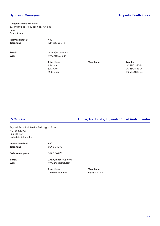Dongju Building 7th Floor 5, Jungang-daero 42beon-gil, Jung-gu Busan South Korea

**International call** +82 **Telephone** '514636551 - 5

**E-mail** busan@hssna.co.kr

**Web** www.hssna.co.kr

**After Hours Telephone Mobile**

J. D. Jang 10 3562 5042 S. K. Choi 10 8904 8304 M. S. Choi 10 9420 2924

#### **IMOC Group Dubai, Abu Dhabi, Fujairah, United Arab Emirates**

Fujairah Technical Service Building 1st Floor P.O. Box 2072 Fujairah Port United Arab Emirates

|                                 | <b>After Hours</b>                     | <b>Telephone</b> |
|---------------------------------|----------------------------------------|------------------|
| E-mail<br>Web                   | UAE@imocgroup.com<br>www.imocgroup.com |                  |
| 24 hrs emergency                | 5648 34722                             |                  |
| International call<br>Telephone | $+971$<br>5648 34772                   |                  |

Christian Vammen 5648 34722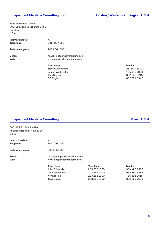Bank of America Cennter 700, Louisiana Street, Suite 3950 Houston U.S.A.

| International call<br><b>Telephone</b> | $+1$<br>2814804260                                          |                        |
|----------------------------------------|-------------------------------------------------------------|------------------------|
| 24 hrs emergency                       | 203 256 1000                                                |                        |
| E-mail<br><b>Web</b>                   | head@independentmaritime.com<br>www.independentmaritime.com |                        |
|                                        | <b>After Hours</b><br>Steve Cunningham                      | <b>Mobile</b><br>28190 |

281 908 4992 Sander Wielemaker **786 376 2888** Jens Bogsrud 832 640 3215 GP Singh 832 794 3942

#### **Independent Maritime Consulting Ltd. Miami, U.S.A. Miami, U.S.A.**

500 NE 25th St Suite #10 Pompano Beach, Florida 33064 U.S.A.

| International call<br><b>Telephone</b> | $+1$<br>203 256 1000                                        |              |               |
|----------------------------------------|-------------------------------------------------------------|--------------|---------------|
| 24 hrs emergency                       | 203 256 1000                                                |              |               |
| E-mail<br><b>Web</b>                   | head@independentmaritime.com<br>www.independentmaritime.com |              |               |
|                                        | <b>After Hours</b>                                          | Telephone    | <b>Mobile</b> |
|                                        | John E. Stenvik                                             | 203 256 1000 | 954 425 2380  |
|                                        | Wolf Schonborn                                              | 203 256 1000 | 954 854 8283  |
|                                        | Kevin Hislop                                                | 203 256 1000 | 786 395 0515  |

Terry Upson 203 256 1000 352 259 7699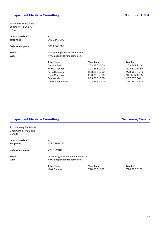#### Independent Maritime Consulting Ltd. **Southport, U.S.A.** Southport, U.S.A.

2425 Post Road, Suite 101 Southport CT 06890 U.S.A.

| International call<br><b>Telephone</b> | $+1$<br>203 256 1000                                        |                                  |                               |
|----------------------------------------|-------------------------------------------------------------|----------------------------------|-------------------------------|
| 24 hrs emergency                       | 203 256 1000                                                |                                  |                               |
| E-mail<br><b>Web</b>                   | head@independentmaritime.com<br>www.independentmaritime.com |                                  |                               |
|                                        | <b>After Hours</b><br>David H.Smith                         | <b>Telephone</b><br>203 256 1000 | <b>Mobile</b><br>203 767 2240 |
|                                        | Kevin J. Lennon<br>Kevin Burgoyne                           | 203 256 1000<br>203 256 1000     | 203 521 9360<br>978 968 8459  |

#### **Independent Maritime Consulting Ltd. Vancouver, Canada**

2111 Parkway Boulevard Coquitlam BC V3E 3K5 Canada

|                                        | <b>After Hours</b>                                              | <b>Telephone</b> | <b>Mobile</b> |
|----------------------------------------|-----------------------------------------------------------------|------------------|---------------|
| E-mail<br>Web                          | mbentley@independentmaritime.com<br>www.independentmaritime.com |                  |               |
| 24 hrs emergency                       | 778 989 0153                                                    |                  |               |
| International call<br><b>Telephone</b> | $+1$<br>778 285 0053                                            |                  |               |

Dean Couphos 203 256 1000 917 685 92052 Stijn Vodde 203 256 1000 267 575 6041 Captain Jay Bolton 203 256 1000 860 460 9209

Mark Bentley 2778 285 1368 778 989 0153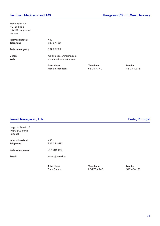Møllerveien 22 P.O. Box 553 N-5501 Haugesund Norway

| International call<br><b>Telephone</b> | $+47$<br>5374 7740                                |                                 |                              |
|----------------------------------------|---------------------------------------------------|---------------------------------|------------------------------|
| 24 hrs emergency                       | 4529 4275                                         |                                 |                              |
| E-mail<br><b>Web</b>                   | mail@jacobsenmarine.com<br>www.jacobsenmarine.com |                                 |                              |
|                                        | <b>After Hours</b><br>Richard Jacobsen            | <b>Telephone</b><br>53 74 77 40 | <b>Mobile</b><br>45 29 42 75 |

**After Hours Telephone Mobile**

### **Jervell Navegacão, Lda. Porto, Portugal**

| Largo do Terreiro 4<br>4050-603 Porto<br>Portugal |                       |  |
|---------------------------------------------------|-----------------------|--|
| International call<br>Telephone                   | $+351$<br>223 322 512 |  |
| 24 hrs emergency                                  | 917 404 191           |  |
| E-mail                                            | jervell@jervell.pt    |  |
|                                                   |                       |  |

**Carla Santos** 256 754 748

**After Hours**<br> **Carla Santos**<br> **Carla Santos**<br> **Carla Santos**<br> **Carla Santos**<br> **Carla Santos**<br> **Carla Santos**<br> **Carla Santos**<br> **Carla Santos**<br> **Carla Santos**<br> **Carla Santos**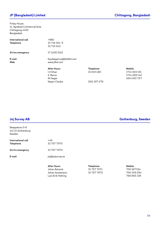### **JF (Bangladesh) Limited Chittagong, Bangladesh**

Finlay House 11, Agrabad Commercial Area Chittagong 4100 Bangladesh

| International call | $+880$                   |                  |               |
|--------------------|--------------------------|------------------|---------------|
| <b>Telephone</b>   | 31 716 321 -5            |                  |               |
|                    | 31 715 542               |                  |               |
| 24 hrs emergency   | 17 1400 3151             |                  |               |
| E-mail             | lloydsagency@jfbdltd.com |                  |               |
| <b>Web</b>         | www.jfbd.com             |                  |               |
|                    | <b>After Hours</b>       | <b>Telephone</b> | <b>Mobile</b> |
|                    | I.H.Khan                 | 31 619 480       | 1714 C        |
|                    | S. Barua                 |                  | 17142         |
|                    | Ali Sagar                |                  | 18148         |
|                    | Nayan Chadra             | 1811 197 278     |               |

**Jnj Survey AB Gothenburg, Sweden**

1714 003 151 1714 289 142 1814 815 727

| Skeppsbron 5-6<br>411 21 Gothenburg<br>Sweden |                    |                  |               |
|-----------------------------------------------|--------------------|------------------|---------------|
| International call                            | $+46$              |                  |               |
| Telephone                                     | 317577970          |                  |               |
| 24 hrs emergency                              | 317577970          |                  |               |
| E-mail                                        | jnj@jnjsurvey.se   |                  |               |
|                                               | <b>After Hours</b> | <b>Telephone</b> | <b>Mobile</b> |
|                                               | Johan Åstrand      | 31 757 7971      | 705 367154    |
|                                               | Johan Gustavsson   | 317577972        | 706 339 294   |

Lars-Erik Hellring 768 855 138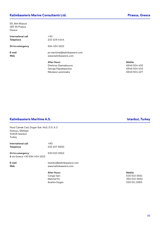### **Kalimbassieris Marine Consultants Ltd. Piraeus, Greece**

65, Akti Miaouli 185 36 Piraeus Greece

| International call<br><b>Telephone</b> | $+30$<br>210 429 4444                                     |                       |
|----------------------------------------|-----------------------------------------------------------|-----------------------|
| 24 hrs emergency                       | 694 454 1622                                              |                       |
| E-mail<br><b>Web</b>                   | pir.maritime@kalimbassieris.com<br>www.kalimbassieris.com |                       |
|                                        | <b>After Hours</b><br>Dimitrios Giannakouros              | <b>Mobile</b><br>6946 |

6946 504 405 George Papadopoulos and the Contract of Gaussian Contract of Gaussian Contract of Gaussian Contract of Gaussian Contract of Gaussian Contract of Gaussian Contract of Gaussian Contract of Gaussian Contract of Gaussian Contr Nikolaos Larentzakis 6949 504 407

### **Kalimbassieris Maritime A.S. Istanbul, Turkey**

| International call | $+90$        |
|--------------------|--------------|
| <b>Telephone</b>   | 216 457 5600 |

**24 hrs emergency** 530 510 3563 & via Greece +30 694 454 1622

**E-mail** istanbul@kalimbassieris.com **Web** www.kalimbassieris.com

> **After Hours Mobile** Cengiz Iseri 530 510 3561 Mehmet Kir 350 510 3562 Ibrahim Dogan 530 511 3983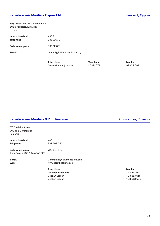### **Kalimbassieris Maritime Cyprus Ltd. Limassol, Cyprus**

Terpsichoris Str., RLG Athina Blg 23 3086 Kapsalos, Limassol Cyprus

| +357<br>25311071              |
|-------------------------------|
| 99902091                      |
| general@kalimbassieris.com.cy |
|                               |

**After Hours Telephone Mobile** Anastasios Hadjisoteriou and 25311 071 99902 091

### **Kalimbassieris Maritime S.R.L., Romania Constantza, Romania**

| 67 Zorelelor Street           |                               |               |
|-------------------------------|-------------------------------|---------------|
| 900553 Constantza             |                               |               |
| Romania                       |                               |               |
| International call            | $+40$                         |               |
| <b>Telephone</b>              | 241 693 750                   |               |
| 24 hrs emergency              | 723 313 619                   |               |
| & via Greece +30 694 454 1622 |                               |               |
| E-mail                        | Constantza@kalimbassieris.com |               |
| Web                           | www.kalimbassieris.com        |               |
|                               | <b>After Hours</b>            | <b>Mobile</b> |
|                               | Antonios Kalmoukis            | 723 313 620   |
|                               | Cristian Serban               | 723 613 618   |
|                               | Cristian Ciocan               | 723 313 625   |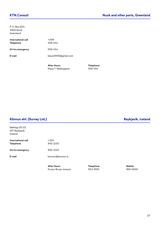| P. O. Box 654                          |                     |
|----------------------------------------|---------------------|
| 3900 Nuuk                              |                     |
| Greenland                              |                     |
| International call<br><b>Telephone</b> | $+299$<br>558 454   |
| 24 hrs emergency                       | 558 454             |
| E-mail                                 | klaus3900@gmail.com |
|                                        |                     |
|                                        |                     |

**After Hours Telephone** Klaus T. Nedergaard 558 454

### **Könnun ehf. (Survey Ltd.) Reykjavik, Iceland**

## Melhagi 20-22 107 Reykjavik Iceland **International call**  $+354$ <br>**Telephone** 892 1220 **Telephone 24 hrs emergency** 892 1220 **E-mail** konnun@konnun.is

**After Hours Telephone Mobile** Knutur Runar Jonsson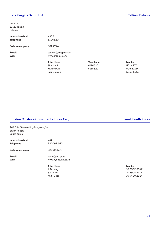### **Lars Krogius Baltic Ltd Tallinn, Estonia**

Ahtri 12 10151 Tallinn Estonia

| International call<br><b>Telephone</b> | $+372$<br>611 6620                     |                             |                           |
|----------------------------------------|----------------------------------------|-----------------------------|---------------------------|
| 24 hrs emergency                       | 5014774                                |                             |                           |
| E-mail<br><b>Web</b>                   | estonia@krogius.com<br>www.krogius.com |                             |                           |
|                                        | <b>After Hours</b><br>Sirje Lubi       | <b>Telephone</b><br>6116620 | <b>Mobile</b><br>501 4774 |

Kaupo Püvi 6116620 505 8299

**After Hours Telephone Mobile** Igor Golovin 5349 6960

### **London Offshore Consultants Korea Co., Seoul, South Korea Co., Seoul, South Korea**

20F.534 Teheran-Ro, Gangnam\_Gu Busan / Seoul South Korea

| International call | +82             |
|--------------------|-----------------|
| <b>Telephone</b>   | 220092 6601     |
| 24 hrs emergency   | 220926601       |
| E-mail             | seoul@loc.groub |

**Web** www.hyopsung.co.kr

**After Hours** J. D. Jang M. S. Choi

| After Hours | Mobile       |
|-------------|--------------|
| J. D. Janq  | 10 3562 5042 |
| S. K. Choi  | 10 8904 8304 |
| M. S. Choi  | 10 9420 2924 |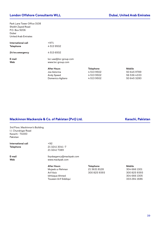### **London Offshore Consultants WLL <b>Dubai**, United Arab Emirates

Park Lane Tower Office 3108 Sheikh Zayed Road P.O. Box 9206 Dubai United Arab Emirates

| International call | $+971$                             |
|--------------------|------------------------------------|
| <b>Telephone</b>   | 45139502                           |
| 24 hrs emergency   | 45136502                           |
| E-mail             | loc-uae@loc-group.com              |
| Web                | www.loc-group.com                  |
|                    | <b>After Hours</b><br>Joe Astorina |

| Mobile      |
|-------------|
| 50 645 9789 |
| 56 536 4333 |
| 50 645 3280 |
|             |

#### **Mackinnon Mackenzie & Co. of Pakistan (Pvt) Ltd. Karachi, Pakistan**

3rd Floor, Mackinnon's Building I.I. Chundrigar Road Karachi - 74000 Pakistan

**International call**  $+92$ 

**Telephone** 21 3241 3041 -7 21 3241 7389

**E-mail** lloydsagency@mackpak.com **Web** www.mackpak.com

> Mujeeb ur Rehman 21 3631 8128 Arif Aziz 300 825 9393 300 825 9393 Ishtiaque Ahmed Touseen Arif Siddiqui

**After Hours Telephone** 

| Mobile       |
|--------------|
| 304 666 1301 |
| 3008259393   |
| 304 666 1305 |
| 333 284 1686 |
|              |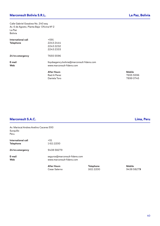Calle Gabriel Gosalvez No. 240 esq Av. 6 de Agosto, Planta Baja- Oficina Nº 2 La Paz Bolivia

| International call<br><b>Telephone</b> | $+591$<br>2243 2444<br>2243 2232<br>2243 2333                           |               |
|----------------------------------------|-------------------------------------------------------------------------|---------------|
| 24 hrs emergency                       | 7655 5596                                                               |               |
| E-mail<br><b>Web</b>                   | lloydsagency.bolivia@marconsult-fidens.com<br>www.marconsult-fidens.com |               |
|                                        | <b>After Hours</b>                                                      | <b>Mobile</b> |
|                                        | Raúl A Perez                                                            | 7655 5596     |
|                                        | Daniela Toro                                                            | 78990745      |

### **Marconsult S.A.C. Lima, Peru**

Av. Mariscal Andres Avelino Caceres 593 Surquillo Peru **International call** +51 **Telephone** 1 611 2200 **24 hrs emergency** 9438 58279

**E-mail** seguros@marconsult-fidens.com **Web** www.marconsult-fidens.com

> **After Hours Telephone Mobile**<br> **Cesar Salerno Mobile**<br> **Cesar Salerno Mobile 1611** 2200 Cesar Salerno 1611 2200 9438 5827**9**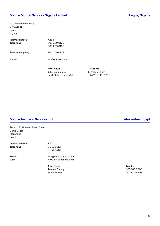10, Ogendengbe Road GRA Apapa Lagos Nigeria

| International call<br>Telephone | +234<br>807 209 0132<br>807 209 0139 |
|---------------------------------|--------------------------------------|
| 24 hrs emergency                | 807 209 0139                         |
| E-mail                          | info@mmswa.com                       |
|                                 |                                      |

**After Hours Telephone** John Biakinogho 807 209 0139<br>Rasik Halai - London UK +44 776 620 6733 Rasik Halai - London UK

### **Marine Technical Services Ltd. Alexandria, Egypt**

20, Abd El Moneem Sanad Street Camp Cezar Alexandria Egypt

**International call**  $+20$ **Telephone** 3 592 1512

3 592 1513

**E-mail** info@mtsalexandria.com **Web** www.mtsalexandria.com

> **After Hours Mobile** Terence Delany 100 180 5205 Raouf Khadra 100 508 0108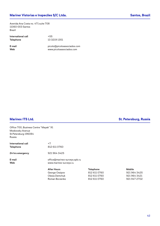### **Mariner Vistorias e Inspecões S/C Ltda. Santos, Brazil**<br> **Santos, Brazil**

Avenida Ana Costa no. 471 suite 708 11060-003 Santos Brazil

| International call |  |
|--------------------|--|
| <b>Telephone</b>   |  |

**International call** +55 **Telephone** 13 3219 1351

**E-mail** picolo@picoloassociados.com **Web** www.picoloassociados.com

**Marinex ITS Ltd. St. Petersburg, Russia**

| Office 700, Business Centre "Mayak" 91 |                               |                  |               |
|----------------------------------------|-------------------------------|------------------|---------------|
| Moskovsky Avenue                       |                               |                  |               |
| St. Petersburg 196084                  |                               |                  |               |
| Russia                                 |                               |                  |               |
| International call                     | $+7$                          |                  |               |
| <b>Telephone</b>                       | 812 611 0760                  |                  |               |
| 24 hrs emergency                       | 9219643425                    |                  |               |
| E-mail                                 | office@marinex-surveys.spb.ru |                  |               |
| <b>Web</b>                             | www.marinex-surveys.ru        |                  |               |
|                                        | <b>After Hours</b>            | <b>Telephone</b> | <b>Mobile</b> |
|                                        | George Ossipov                | 812 611 0760     | 9219643425    |
|                                        | Olesia Demchuk                | 812 611 0760     | 9219643421    |
| Roman Borzenko                         |                               | 812 611 0760     | 9219472702    |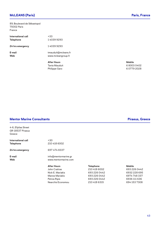### **McLEANS (Paris) Paris, France**

89, Boulevard de Sébastopol 75002 Paris France

|                                        | <b>After Hours</b>                        | <b>Mobile</b> |
|----------------------------------------|-------------------------------------------|---------------|
| E-mail<br><b>Web</b>                   | tmauduit@mcleans.fr<br>www.mcleangroup.fr |               |
| 24 hrs emergency                       | 140399293                                 |               |
| International call<br><b>Telephone</b> | $+33$<br>140399293                        |               |

Tania Mauduit 6 8003 0402 Philippe Garo 6 0779 2028

#### **Mentor Marine Consultants Piraeus, Greece**

### 4-6, Efplias Street GR-18537 Piraeus Greece **International call**  $+30$ **Telephone** 210 418 6002 **24 hrs emergency** 697 474 8337 **E-mail** info@mentormarine.gr **Web** www.mentormarine.com **After Hours Telephone Mobile** John Cratiras 210 418 6002 693 226 0442 Nick E. Mariakis 693 226 0442 6932 228 695 Manos Mariakis 693 226 0442 6974 748 337 Petros Ripis 693 226 0442 6936 111 636

Nearchis Economou 210 418 6315 694 153 7308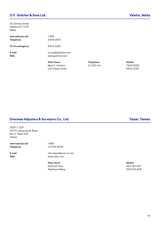### **O.F. Gollcher & Sons Ltd. Valetta, Malta**

19, Zachary Street Valletta VLT 1133 Malta

|                    | <b>After Hours</b>  |
|--------------------|---------------------|
| E-mail             | survey@gollcher.com |
| Web                | www.gollcher.com    |
| 24 hrs emergency   | 9942 2165           |
| International call | +356                |
| <b>Telephone</b>   | 25691500            |

Mark F. Gollcher 21 330 414 7949 5085 Clint Falzon Scerri 9942 2165

**After Hours Telephone Mobile**

#### **Overseas Adjusters & Surveyors Co., Ltd. Taipei, Taiwan**

1205-7, 12/F 237 Fu Hsing South Road Sec 2, Taipei 106 Taiwan

International call  $+886$ **Telephone** 2 2706 6509

**E-mail** info-taipei@ovas-ct.com **Web** www.ctplc.com

> **After Hours Mobile** Edmund Chen Stephanie Wang 1936 603 668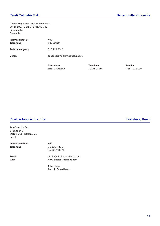Centro Empresarial de Las Américas 1 Office 1001, Calle 77B No. 57-141 Barranquilla Colombia

| International call<br><b>Telephone</b> | $+57$<br>53600524              |
|----------------------------------------|--------------------------------|
| 24 hrs emergency                       | 315 721 3016                   |
| E-mail                                 | pandi.colombia@metrotel.net.co |
|                                        |                                |

Erick Grandjean 301780376 315 721 3016

After Hours **Mobile Telephone Mobile** 

### **Picolo e Associados Ltda. Fortaleza, Brazil**

Rua Oswaldo Cruz 1 - Suite 1407 60165-011 Fortaleza, CE Brazil

| International call |  |
|--------------------|--|
| <b>Telephone</b>   |  |

**International call** +55 **Telephone** 85 3037 3927 85 3037 3872

**E-mail** picolo@picoloassociados.com **Web** www.picoloassociados.com

> **After Hours** Antonio Paulo Bastos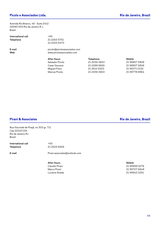### **Picolo e Associados Ltda. Rio de Janeiro, Brazil**

Avenida Rio Branco, 45 - Suite 2412 20090-003 Rio de Janeiro-R.J. Brazil

|                                        | <b>After Hours</b>                                      | <b>Telephone</b> | <b>Mobile</b> |
|----------------------------------------|---------------------------------------------------------|------------------|---------------|
| E-mail<br><b>Web</b>                   | picolo@picoloassociados.com<br>www.picoloassociados.com |                  |               |
| International call<br><b>Telephone</b> | $+55$<br>21 2263 5751<br>21 2253 5373                   |                  |               |

Salvador Picolo 21 2256 3663 21 98857 5808 Cesar Gouveia 21 2288 9665 21 98857 5806 Miguel Folco 21 2614 9323 21 98371 0132 Marcos Picolo 21 2256 3663 21 98778 8964

Rua Visconde de Pirajá, no 303 gr. 711 Cep 22410-001 Rio de Janeiro-RJ Brazil

**International call** +55 **Telephone** 21 2525 6626

**E-mail** Pirani.associates@outlook.com

**After Hours Mobile** Luciene Strada 21 99942 1254

**Pirani & Associates Rio de Janeiro, Brazil**

21 99999 0276 Marco Pirani 21 99707 6848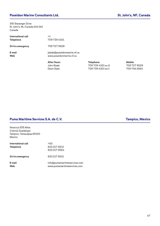### **Poseidon Marine Consultants Ltd. St. John's, NF, Canada**

391 Stavanger Drive St. John's, NL Canada A1A 0A1 Canada

| International call | $+1$                                   |
|--------------------|----------------------------------------|
| <b>Telephone</b>   | 709 739 4321                           |
| 24 hrs emergency   | 709 727 9528                           |
| E-mail             | islade@poseidonmarine.nf.ca            |
| Web                | www.poseidonmarine.nf.ca               |
|                    | <b>After Hours</b><br>$1 - 1 - 0 = -1$ |

**After Hours Telephone Mobile** John Slade 709 739 4321 ex.6 709 727 9528 Deon Dyke 709 739 4321 ex.1 709 746 2664

#### **Puma Maritime Services S.A. de C.V. Tampico, Mexico**

Veracruz 205 Altos. Colonia Guadalupe Tampico, Tamaulipas 89120 Mexico

| International call<br><b>Telephone</b> | +52<br>833 217 9531<br>833 217 9564                           |
|----------------------------------------|---------------------------------------------------------------|
| 24 hrs emergency                       | 833 217 9531                                                  |
| E-mail<br>Web                          | info@pumamaritimeservices.com<br>www.pumamaritimeservices.com |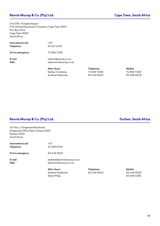### **Rennie Murray & Co. (Pty) Ltd. Cape Town, South Africa**

Unit 28A, Foregate Square F.W. de Klerk Boulevard, Foreshore, Cape Town 8001 P.O. Box 2415 Cape Town 8000 South Africa

|                    | After Houre            |
|--------------------|------------------------|
| E-mail             | nathan@murray.co.za    |
| Web                | www.renniemurray.co.za |
| 24 hrs emergency   | 718997368              |
| International call | $+27$                  |
| <b>Telephone</b>   | 21 421 4150            |

**After Hours Telephone Mobile** Nathan Christians 71 899 7368<br>Andrew Heathcote 83 448 5625 Andrew Heathcote 83 448 5625 83 448 85625

### **Rennie Murray & Co. (Pty) Ltd. Durban, South Africa**

1st Floor, 1 Kingsmead Boulevard Kingsmead Office Park, Durban 4000 Durban 4000 South Africa

| International call | $+27$       |
|--------------------|-------------|
| <b>Telephone</b>   | 31 328 0700 |
| 24 hrs emergency   | 83 448 5625 |

**E-mail** andrewh@renniemurray.co.za **Web** www.renniemurray.co.za

> After Hours **Mobile Telephone Mobile** Andrew Heathcote **83 448 5625** 83 448 5625 Shane Pillay 83 468 1296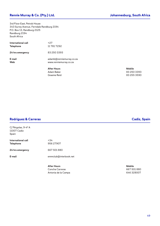### **Rennie Murray & Co. (Pty.) Ltd. Johannesburg, South Africa**

3rd Floor East, Petrob House 343 Surrey Avenue, Ferndale Randburg 2194 P.O. Box 13, Randburg 2125 Randburg 2194 South Africa

| International call | $+27$                                              |
|--------------------|----------------------------------------------------|
| <b>Telephone</b>   | 11 781 7292                                        |
| 24 hrs emergency   | 83 250 3393                                        |
| E-mail<br>Web      | adamb@renniemurray.co.za<br>www.renniemurray.co.za |
|                    |                                                    |

**After Hours Mobile**

Adam Baker 83 250 3393 Graeme Reid 83 255 3590

#### **Rodriguez & Carreras Cadiz, Spain**

C/ Pérgolas, 9-4º A 11007 Cadiz Spain **International call** +34 **Telephone** 956 27907 **24 hrs emergency** 667 501 880 **E-mail** emmclub@interbook.net **After Hours Mobile** Concha Carreras 667 501 880 Antonia de la Campa 646 328007

49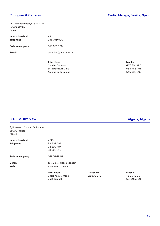Av. Menéndez Pelayo, 63- 1º izq 41003 Sevilla Spain

| <b>International call</b><br><b>Telephone</b> | +34<br>956 079 590    |
|-----------------------------------------------|-----------------------|
| 24 hrs emergency                              | 667 501 880           |
| E-mail                                        | emmclub@interbook.net |
|                                               |                       |

**After Hours Mobile** Concha Carreras 667 501 880 Bernardo Ruiz Lima **658 968 466** Antonio de la Campa 646 328 007

### **S.A.E MORY & Co Algiers, Algeria**

8, Boulevard Colonel Amirouche 16000 Algiers Algeria

| International call<br><b>Telephone</b> | $+213$<br>23 503 493<br>23 503 494<br>23 503 510          |                                |                                           |
|----------------------------------------|-----------------------------------------------------------|--------------------------------|-------------------------------------------|
| 24 hrs emergency                       | 661556815                                                 |                                |                                           |
| E-mail<br><b>Web</b>                   | ops-algiers@saem-dz.com<br>www.saem-dz.com                |                                |                                           |
|                                        | <b>After Hours</b><br>Chaib Kara-Slimane<br>Capt Zerouali | <b>Telephone</b><br>21 600 272 | <b>Mobile</b><br>43 21 42 00<br>661105910 |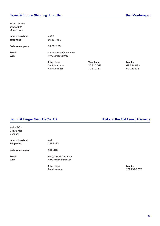St. M. Tita D-5 85000 Bar Montenegro

| International call | +382                   |                  |               |
|--------------------|------------------------|------------------|---------------|
| <b>Telephone</b>   | 30 317 350             |                  |               |
| 24 hrs emergency   | 69 031 125             |                  |               |
| E-mail             | samer.strugar@t-com.me |                  |               |
| <b>Web</b>         | www.samer.com/bar      |                  |               |
|                    | <b>After Hours</b>     | <b>Telephone</b> | <b>Mobile</b> |
|                    | Daniela Strugar        | 30 315 563       | 69 324 583    |
|                    |                        |                  |               |

**Sartori & Berger GmbH & Co. KG Kiel and the Kiel Canal, Germany**

Wall 47/51 24103 Kiel Germany

| International call | +49                    |
|--------------------|------------------------|
| <b>Telephone</b>   | 4319810                |
| 24 hrs emergency   | 4319810                |
| E-mail             | kiel@sartori-berger.de |
| Web                | www.sartori-berger.de  |

**After Hours Mobile** Arne Liemann 171 7970 270

Nikola Strugar 30 311 767 69 031 125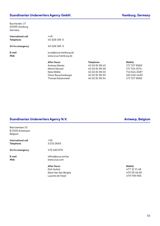### **Scandinavian Underwriters Agency GmbH. Hamburg, Germany**

Burchardstr. 17 20095 Hamburg Germany

| International call<br><b>Telephone</b> | $+49$<br>40 328 198 -0                      |                  |               |
|----------------------------------------|---------------------------------------------|------------------|---------------|
| 24 hrs emergency                       | 40 328 198 -0                               |                  |               |
| E-mail<br><b>Web</b>                   | scua@scua-hamburg.de<br>www.scua-hamburg.de |                  |               |
|                                        | <b>After Hours</b>                          | <b>Telephone</b> | <b>Mobile</b> |
|                                        | <b>Andreas Macke</b>                        | 40 32 81 98 40   | 171 727 8983  |
|                                        | Martin Munzel                               | 40 32 81 98 38   | 171 724 1574  |
|                                        | Niels Wölfel                                | 40 32 81 98 33   | 713 644 2087  |
|                                        | Oliver Rauschenberger                       | 40 32 81 98 30   | 162 246 4430  |

Thomas Katzenmeier 40 32 81 98 34 171 727 8982

### **Scandinavian Underwriters Agency N.V. Antwerp, Belgium**

| Belcrownlaan 13<br>B-2100 Antwerpen<br>Belgium |                                                                                 |                                                              |
|------------------------------------------------|---------------------------------------------------------------------------------|--------------------------------------------------------------|
| International call<br><b>Telephone</b>         | $+32$<br>32310693                                                               |                                                              |
| 24 hrs emergency                               | 475 460 879                                                                     |                                                              |
| E-mail<br><b>Web</b>                           | office@scua-ant.be<br>www.scua.com                                              |                                                              |
|                                                | <b>After Hours</b><br>Dirk Verbist<br>Steve Van den Berghe<br>Laurens de Visser | <b>Mobile</b><br>477 31 71 48<br>475 35 46 60<br>479 799 956 |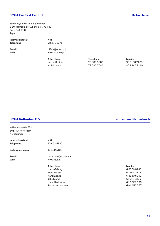### **SCUA Far East Co. Ltd. Kobe, Japan**

Sannomiya Kokusai Bldg. 5 Floor 1-30, Hamabe-dori, 2-chome, Chuo-ku Kobe 651-0083 Japan

| International call |  |
|--------------------|--|
| <b>Telephone</b>   |  |
|                    |  |

**E-mail** office@scua.co.jp

**Telephone** 78 272 1771

**International call** +81

**Web** www.scua.co.jp

**After Hours Telephone Mobile** Kazuo Uchida 78 200 3686 90 3168 7420 K. Fukunaga 78 587 7086 80 8945 2140

| Wilhelminakade 75b |                      |               |
|--------------------|----------------------|---------------|
| 3017 AP Rotterdam  |                      |               |
| <b>Netherlands</b> |                      |               |
| International call | $+31$                |               |
| <b>Telephone</b>   | 10 452 5100          |               |
| 24 hrs emergency   | 10 452 5100          |               |
| E-mail             | rotterdam@scua.com   |               |
| Web                | www.scua.nl          |               |
|                    | <b>After Hours</b>   | <b>Mobile</b> |
|                    | <b>Harry Gelsing</b> | 653260733     |
|                    | Peter Muller         | 612694574     |
|                    | Aant Elzinga         | 643405952     |
|                    | Jelle Klomp          | 610486239     |
|                    | Henri Haaksema       | 613629095     |
|                    | Tristan van Houten   | 6 46 156 027  |
|                    |                      |               |

#### **SCUA Rotterdam B.V. Rotterdam B.V. Rotterdam, Netherlands**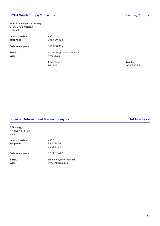### **SCUA South Europe Office Lda. Lisbon, Portugal**

Rua Das Azdnhas 28 1 st Esq 2730-270 Barcarena Portugal

|                                        | <b>After Hours</b><br>- - - -              | <b>Mobile</b><br>$\sim$ $\sim$ $\sim$ |
|----------------------------------------|--------------------------------------------|---------------------------------------|
| E-mail<br><b>Web</b>                   | scualisbon@scualisbonpt.com<br>www.scua.pt |                                       |
| 24 hrs emergency                       | 968 600 394                                |                                       |
| International call<br><b>Telephone</b> | $+351$<br>968 600 394                      |                                       |

Brij Goel 968 600 394

#### **Shomroni International Marine Surveyors Tel Aviv, Israel**

8 Shlonsky, Herzliya 4676708 Israel

| International call<br><b>Telephone</b> | +972<br>99579805<br>35666774              |
|----------------------------------------|-------------------------------------------|
| 24 hrs emergency                       | 505232448                                 |
| E-mail<br>Web                          | shomroni@shomroni.com<br>www.shomroni.com |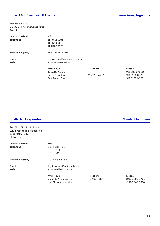### **Sigvart G.J. Simonsen & Cia S.R.L. Buenos Aires, Argentina**

Mendoza 4002 C1430 BRP CABA Buenos Aires Argentina

| International call<br><b>Telephone</b> | $+54$<br>11 45 42 9156<br>1145443847<br>11 4545 7501    |                                  |                                    |
|----------------------------------------|---------------------------------------------------------|----------------------------------|------------------------------------|
| 24 hrs emergency                       | 11 911 6565 6552                                        |                                  |                                    |
| E-mail<br><b>Web</b>                   | companymail@simonsen.com.ar<br>www.simonsen.com.ar      |                                  |                                    |
|                                        | <b>After Hours</b><br>Tomá De Antoni<br>Lucas De Antoni | <b>Telephone</b><br>11 4798 7437 | <b>Mobile</b><br>911 38<br>911 518 |

911 3820 7662<br>11 4798 7437 911 5185 3822 911 5185 3822 Raúl Marco Boero 911 5185 382**5**

#### **Smith Bell Corporation Manila, Philippines**

2nd Floor First Lucky Place 2294 Pasong Tamo Extension 1231 Makati City Philippines

| International call | $+63$                         |                  |               |
|--------------------|-------------------------------|------------------|---------------|
| <b>Telephone</b>   | 28167851-58                   |                  |               |
|                    | 28150166                      |                  |               |
|                    | 28156066                      |                  |               |
| 24 hrs emergency   | 29088823732                   |                  |               |
| E-mail             | lloydsagency@smithbell.com.ph |                  |               |
| <b>Web</b>         | www.smithbell.com.ph          |                  |               |
|                    | <b>After Hours</b>            | <b>Telephone</b> | <b>Mobile</b> |
|                    | Cursillito A. Quintanilla     | 46 438 4119      | 29088823732   |
|                    | Neil Christian Narzabal       |                  | 29209600918   |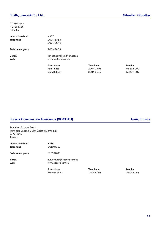### **Smith, Imossi & Co. Ltd. Gibraltar, Gibraltar**

47, Irish Town P.O. Box 185 Gibraltar

| International call<br><b>Telephone</b> | $+350$<br>20078353<br>20078644                     |
|----------------------------------------|----------------------------------------------------|
| 24 hrs emergency                       | 20042403                                           |
| E-mail<br>Web                          | lloydsagent@smith-imossi.gi<br>www.smithimossi.com |
|                                        | <b>After Hours</b><br>Paul Imossi                  |

Paul Imossi 2004 2403 5833 5000 Gina Beltran 2004 6447 5627 700**0**

**After Hours Telephone Mobile**

#### **Societe Commerciale Tunisienne (SOCOTU) Tunisia Tunisia Tunisia Tunisia**

Rue Abou Baker el Bokri Immeuble Luxor II-2 7me 2étage Montplaisir 1073 Tunis Tunisia

| International call | +216     |
|--------------------|----------|
| <b>Telephone</b>   | 70108063 |
| 24 hrs emergency   | 21393789 |

**E-mail** survey.dept@socotu.com.tn **Web** www.socotu.com.tn

> **After Hours Telephone Mobile** Braham Nabil 2139 3789 2139 3789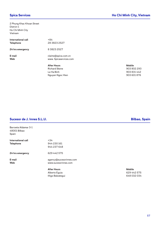2 Phung Khac Khoan Street District 1 Ho Chi Minh City Vietnam

| International call<br><b>Telephone</b> | $+84$<br>28 3823 2527                         |               |
|----------------------------------------|-----------------------------------------------|---------------|
| 24 hrs emergency                       | 838232527                                     |               |
| E-mail<br><b>Web</b>                   | claims@spica.com.vn<br>www. Spicaservices.com |               |
|                                        | <b>After Hours</b>                            | <b>Mobile</b> |
|                                        | <b>Richard Skene</b>                          | 9038          |
|                                        | Le Ha Binh                                    | 90383         |

Nguyen Ngoc Hien

903 802 293 903 831 442<br>903 601 876

#### **Sucesor de J. Innes S.L.U. Bilbao, Spain**

| Barroeta Aldamar 3-1<br>48001 Bilbao<br>Spain |                                                         |                               |
|-----------------------------------------------|---------------------------------------------------------|-------------------------------|
| International call<br><b>Telephone</b>        | $+34$<br>944 230 161<br>944 237 648                     |                               |
| 24 hrs emergency                              | 629 442 575                                             |                               |
| E-mail<br><b>Web</b>                          | agency@sucesorinnes.com<br>www.sucesorinnes.com         |                               |
|                                               | <b>After Hours</b><br>Alberto Eguia<br>Iñigo Balzategui | <b>Mobile</b><br>6294<br>6480 |

629 442 575 648 032 034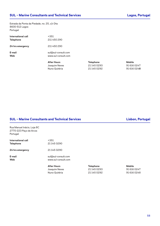Estrada da Ponta da Piedade, no. 25, c/v Dta 8600-512 Lagos Portugal

| International call<br><b>Telephone</b> | $+351$<br>211 450 290                      |                  |               |
|----------------------------------------|--------------------------------------------|------------------|---------------|
| 24 hrs emergency                       | 211 450 290                                |                  |               |
| E-mail<br>Web                          | sul@sul-consult.com<br>www.sul-consult.com |                  |               |
|                                        | <b>After Hours</b>                         | <b>Telephone</b> | <b>Mobile</b> |
|                                        | Joaquim Neves                              | 211450293        | 91 616 0247   |
|                                        | Nuno Quitéria                              | 211450292        | 91 616 0248   |

#### **SUL – Marine Consultants and Technical Services Lisbon, Portugal**

Rua Manuel Inácio, Loja 8C 2770-223 Paço de Arcos Portugal

| International call | +351                |
|--------------------|---------------------|
| <b>Telephone</b>   | 211450290           |
| 24 hrs emergency   | 211450290           |
| E-mail             | sul@sul-consult.com |
| Web                | www.sul-consult.com |

Joaquim Neves Nuno Quitéria 21 145 0292

**After Hours**<br> **Mobile**<br> **Mobile**<br> **Mobile**<br> **After Hours**<br> **Mobile**<br> **Mobile**<br> **Mobile**<br> **Mobile**<br> **Mobile**<br> **Mobile**<br> **Mobile**<br> **Mobile**<br> **Mobile**<br> **Mobile**<br> **Mobile**<br> **Mobile**<br> **Mobile**<br> **Mobile**<br> **Mobile**<br> **Mobile**<br> **M** 

| Mobile |             |
|--------|-------------|
|        | 91 616 0247 |
|        | 91 616 0248 |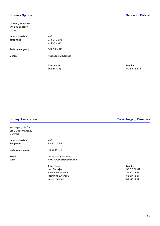### **Sulnave Sp. z.o.o. Szczecin, Poland**

Ul. Nowy Rynek 1/5 70-533 Szczecin Poland

| International call<br><b>Telephone</b> | +48<br>918142203<br>91 814 2204 |
|----------------------------------------|---------------------------------|
| 24 hrs emergency                       | 502 573 513                     |
| E-mail                                 | west@sulnave.com.pl             |
|                                        |                                 |

**After Hours Mobile**

Ewa Sztafiej 502 573 513

Købmagergade 54 1150 Copenhagen K Denmark **International call**  $+45$ **Telephone** 33 93 25 93 **24 hrs emergency** 33 93 25 93 **E-mail** mail@surveyassociation **Web** www.surveyassociation.com **After Hours Mobile** Kurt Damkjær 1990 – 1990 – 1990 – 1990 – 1990 – 1990 – 1990 – 1990 – 1990 – 1990 – 1990 – 1990 – 1990 – 1990 – 1 Hans Henrik Krogh 21 41 04 66 Flemming Sørensen 51 80 41 36 Søren Pedersen 61 80 41 35

#### **Survey Association Copenhagen, Denmark**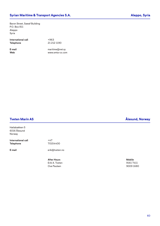### **Syrian Maritime & Transport Agencies S.A. Aleppo, Syria**

Baron Street, Sawaf Building P.O. Box 811 Aleppo Syria

| International call |  |
|--------------------|--|
| <b>Telephone</b>   |  |

**E-mail** maritime@net.sy **Web** www.smta-co.com

**International call** +963 **Telephone** 21 212 1190

Hatlabakken 5 6016 Ålesund Norway

**International call**  $+47$ **Telephone** 70154400

**E-mail** erik@tveten.no

**After Hours Mobile** Erik A. Tveten 9161 7411 Ove Paulsen

### **Tveten Marin AS Ålesund, Norway**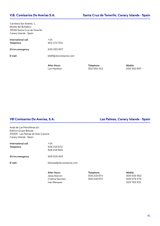Carretera San Andrés, 1, Muelle del Bufadero 38180 Santa Cruz de Tenerife Canary Islands - Spain

| International call<br><b>Telephone</b> | +34<br>922 472 534     |
|----------------------------------------|------------------------|
| 24 hrs emergency                       | 639 350 897            |
| E-mail                                 | bldtf@vbcomisarios.com |
|                                        |                        |

After Hours **Mobile Telephone Mobile** Leo Hamilton **922 594 012** 639 350 897

Avda de Las Petroliferas s/n Edificio Grupo Boluda 35008 - Las Palmas de Gran Canaria Canary Islands - Spain

| International call | $+34$                    |
|--------------------|--------------------------|
| <b>Telephone</b>   | 938 218 872              |
|                    | 928 218 869              |
| 24 hrs emergency   | 609 505 902              |
| E-mail             | bldcasa@vbcomisarios.com |
|                    |                          |
|                    | <b>After Hours</b>       |

**VB Comisarios De Averias, S.A. Las Palmas, Canary Islands - Spain**

| After Hours      | <b>Telephone</b> | Mobile      |
|------------------|------------------|-------------|
| Jesús Alarcon .  | 928 218 874      | 609 505 902 |
| Cristina Sanchez | 928 218 872      | 609 579 579 |
| Ivan Marquez     |                  | 629 765 831 |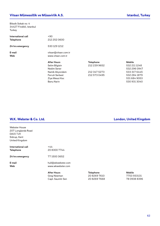### **Vitsan Mümessillik ve Müsavirlik A.S. Istanbul, Turkey**

Bilezik Sokak no: 4 34427 Findikli, Istanbul Turkey

| International call<br><b>Telephone</b> | $+90$<br>212 252 0600                     |                  |               |
|----------------------------------------|-------------------------------------------|------------------|---------------|
| 24 hrs emergency                       | 530 129 1212                              |                  |               |
| E-mail<br><b>Web</b>                   | vitsan@vitsan.com.tr<br>www.vitsan.com.tr |                  |               |
|                                        | <b>After Hours</b>                        | <b>Telephone</b> | <b>Mobile</b> |
|                                        | Selim Bilgisin                            | 212 239 9652     | 532 211 1248  |
|                                        | Nedim Sener                               |                  | 532 296 0947  |
|                                        | Namik Akyondem                            | 212 347 5273     | 533 317 6445  |
|                                        | <b>Ferruh Serbest</b>                     | 212 573 0495     | 532 284 1879  |
|                                        | Ziya Mesut Koc                            |                  | 5316849053    |
|                                        | <b>Banu Narin</b>                         |                  | 530 931 3040  |

### **W.K. Webster & Co. Ltd. London, United Kingdom**

| <b>Webster House</b><br>207 Longlands Road<br><b>DA15 7JH</b><br>Sidcup, Kent |                                                        |                                              |                                             |
|-------------------------------------------------------------------------------|--------------------------------------------------------|----------------------------------------------|---------------------------------------------|
| United Kingdom                                                                |                                                        |                                              |                                             |
| <b>International call</b><br><b>Telephone</b>                                 | $+44$<br>20 8300 7744                                  |                                              |                                             |
| 24 hrs emergency                                                              | 77 1500 3652                                           |                                              |                                             |
| E-mail<br><b>Web</b>                                                          | hull@wkwebster.com<br>www.wkwebster.com                |                                              |                                             |
|                                                                               | <b>After Hours</b><br>Greg Newman<br>Capt. Saumitr Sen | <b>Telephone</b><br>2082697610<br>2082697668 | <b>Mobile</b><br>7753933131<br>78 0938 8396 |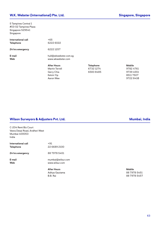5 Tampines Central 1 #03-02 Tampines Plaza Singapore 529541 Singapore

| International call<br><b>Telephone</b> | $+65$<br>6222 6022                         |                  |               |
|----------------------------------------|--------------------------------------------|------------------|---------------|
| 24 hrs emergency                       | 62221257                                   |                  |               |
| E-mail<br><b>Web</b>                   | hull@wkwebster.com.sg<br>www.wkwebster.com |                  |               |
|                                        | <b>After Hours</b>                         | <b>Telephone</b> | <b>Mobile</b> |
|                                        | <b>Martin Terrell</b>                      | 67321274         | 97824761      |
|                                        | Gerry Chia                                 | 65838485         | 9739 4551     |
|                                        | Kelvin Yip                                 |                  | 85117507      |

9782 4761 9739 4551 Aaron Wee **9722 8410** 

### **Wilson Surveyors & Adjusters Pvt. Ltd. Mumbai, India**

|                                                                                  | <b>After Hours</b>                  | Mobile |
|----------------------------------------------------------------------------------|-------------------------------------|--------|
| E-mail<br><b>Web</b>                                                             | mumbai@wilsur.com<br>www.wilsur.com |        |
| 24 hrs emergency                                                                 | 88 7978 5451                        |        |
| International call<br><b>Telephone</b>                                           | $+91$<br>22 6689 2100               |        |
| C-204 Remi Biz Court<br>Veera Desai Road, Andheri West<br>Mumbai 400053<br>India |                                     |        |

Aditya Gautama **88 7978 5451** B.B. Rai 88 7978 5457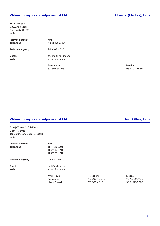### **Wilson Surveyors and Adjusters Pvt Ltd. Chennai (Madras), India**

TMB Manison 739, Anna Salai Chennai 600002 India

| International call<br><b>Telephone</b> | $+91$<br>44 2852 5350                |               |
|----------------------------------------|--------------------------------------|---------------|
| 24 hrs emergency                       | 98 4107 4535                         |               |
| E-mail<br><b>Web</b>                   | chennai@wilsur.com<br>www.wilsur.com |               |
|                                        | <b>After Hours</b>                   | <b>Mobile</b> |
|                                        | C Conthil Kumor                      | 00/11         |

S. Senthil Kumar 98 4107 4535

#### **Wilson Surveyors and Adjusters Pvt Ltd. Head Office, India**

Suneja Tower 2 - 5th Floor District Centre Janakpuri, New Delhi - 110058 India

|                    | <b>After Hours</b>                       |
|--------------------|------------------------------------------|
| E-mail<br>Web      | delhi@wlsur.com<br>www.wilsur.com        |
| 24 hrs emergency   | 72 900 40170                             |
| <b>Telephone</b>   | 11 4705 1991<br>1147061991<br>1147071991 |
| International call | $+91$                                    |

**After Hours Telephone Mobile** Kalyan Jha 72 900 40 170 70 42 898791

Khem Prasad **72 900 40 171** 98 71 588 005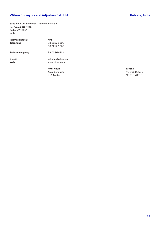Suite No. 806, 8th Floor, "Diamond Prestige" 41, A.J.C.Bose Road Kolkata 700071 India

|                                        | <b>After Hours</b><br>$\sim$ $\sim$ $\sim$ | <b>Mobile</b><br>$\overline{\phantom{a}}$ |
|----------------------------------------|--------------------------------------------|-------------------------------------------|
| <b>Web</b>                             | www.wilsur.com                             |                                           |
| E-mail                                 | kolkata@wilsur.com                         |                                           |
| 24 hrs emergency                       | 99 0386 0113                               |                                           |
| International call<br><b>Telephone</b> | $+91$<br>33 2217 5800<br>33 2217 6568      |                                           |

Anup Sengupta 79 808 20656 98 310 78313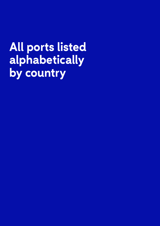# **All ports listed alphabetically by country**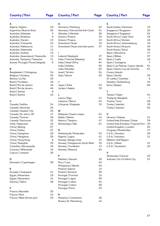| <b>Country / Port</b>              | <b>Page</b> | <b>Country / Port</b>             | <b>Page</b> | <b>Country / Port</b>                | <b>Page</b>    |
|------------------------------------|-------------|-----------------------------------|-------------|--------------------------------------|----------------|
| Α                                  |             | G                                 |             | S                                    |                |
| Algeria / Algiers                  | 50          | Germany / Hamburg                 | 52          | Saudi Arabia / Dammam                | 19             |
| Argentina / Buenos Aires           | 55          | Germany / Kiel and the Kiel Canal | 51          | Singapore / Singapore                | 22             |
| Australia / Adelaide               | 9           | Gibraltar / Gibraltar             | 56          | Singapore / Singapore                | 63             |
| Australia / Brisbane               | 9           | Greece / Piraeus                  | 35          | South Africa / Cape Town             | 48             |
| Australia / Darwin                 | 10          | Greece / Piraeus                  | 43          | South Africa / Durban                | 48             |
| Australia / Fremantle              | 10          | Greenland / Nuuk                  | 18          | South Africa / Johannesburg          | 49             |
| Australia / Melbourne              | 11          | Greenland / Nuuk and other ports  | 37          | South Korea / All ports              | 30             |
| Australia / Newcastle              | 12          |                                   |             | South Korea / Seoul                  | 38             |
| Australia / Sydney                 | 12          | L                                 |             | Spain / Barcelona                    | 17             |
| Australia, Queensland / Townsville | 13          | Iceland / Reykjavik               | 37          | Spain / Bilbao                       | 57             |
| Australia, Tasmania / Tasmania     | 11          | India / Chennai (Madras)          | 64          | Spain / Cadiz                        | 49             |
| Azores, Portugal / Ponta Delgada   | 6           | India / Head Office               | 64          | Spain / Cartagena                    | $\overline{7}$ |
|                                    |             | India / Kolkata                   | 65          | Spain / Las Palmas, Canary Islands   | 61             |
| В                                  |             | India / Mumbai                    | 63          | Spain / Santa Cruz de Tenerife,      | 61             |
| Bangladesh / Chittagong            | 34          | Israel / Tel Aviv                 | 54          | Canary Islands                       |                |
| Belgium / Antwerp                  | 52          | Italy / Genoa                     | 29          | Spain / Sevilla                      | 50             |
| Bolivia / La Paz                   | 40          |                                   |             | Sri Lanka / Colombo                  | 6              |
| Brazil / Fortaleza                 | 45          | J                                 |             | Sweden / Gothenburg                  | 34             |
| Brazil / Rio de Janeiro            | 46          | Japan / Kobe                      | 53          | Syria / Aleppo                       | 60             |
| Brazil / Rio de Jeneiro            | 46          | Jordan / Aqaba                    | 19          |                                      |                |
| Brazil / Santos                    | 8           |                                   |             | т                                    |                |
| Brazil / Santos                    | 42          | L                                 |             | Taiwan / Taipei                      | 44             |
|                                    |             | Latvia / Riga                     | 14          | Thailand / Bangkok                   | $\overline{7}$ |
| C                                  |             | Lebanon / Beirut                  | 23          | Tunisia / Tunis                      | 56             |
| Canada / Halifax                   | 24          | Lithuania / Klaipeda              | 15          | Turkey / Istanbul                    | 35             |
| Canada / Montreal                  | 25          |                                   |             | Turkey / Istanbul                    | 62             |
| Canada / Quebec City               | 25          | M                                 |             |                                      |                |
| Canada / St. John's, NF            | 47          | Malaysia / Kuala Lumpur           | 24          | U                                    |                |
| Canada / Toronto                   | 26          | Malta / Valetta                   | 44          | Ukraine / Odessa                     | 21             |
| Canada / Vancouver                 | 32          | Mexico / Tampico                  | 47          | United Arab Emirates / Dubai         | 39             |
| Chile / Valparaiso                 | 23          | Montenegro / Bar                  | 51          | United Arab Emirates / Fujairah Port | 30             |
| China / Beijing                    | 27          |                                   |             | United Kingdom / London              | 62             |
| China / Dalian                     | 27          | N                                 |             | Uruguay / Montevideo                 | 17             |
| China / Gangzhou                   | 28          | Netherlands / Rotterdam           | 53          | U.S.A. / Houston                     | 26             |
| China / Hangzhou                   | 28          | Nigeria / Lagos                   | 41          | U.S.A. / Houston,                    | 31             |
| China / Hong Kong                  | 8           | Norway / Bergen Area              | 15          | Western Gulf Region                  |                |
| China / Shanghai                   | 29          | Norway / Haugesund, South West    | 33          | U.S.A. / Miami                       | 31             |
| Colombia / Barranquilla            | 45          | Norway / Trondheim                | 13          | U.S.A. / Southport                   | 32             |
| Curacao / Wllemstad                | 16          | Norway / Ålesund                  | 60          |                                      |                |
| Cyprus / Limassol                  | 36          |                                   |             | $\mathsf{V}$                         |                |
|                                    |             | P                                 |             | Venezuala / Caracas                  | 22             |
| D                                  |             | Pakistan / Karachi                | 39          | Vietnam / Ho Chi Minh City           | 57             |
| Denmark / Copenhagen               | 59          | Peru / Lima                       | 40          |                                      |                |
|                                    |             | Philippines / Manila              | 55          |                                      |                |
| Е                                  |             | Poland / Gdynia                   | 14          |                                      |                |
| Ecuador / Guayaquil                | 21          | Poland / Szczecin                 | 59          |                                      |                |
| Egypt / Alexandria                 | 18          | Portugal / Funchal                | 16          |                                      |                |
| Egypt / Alexandria                 | 41          | Portugal / Lagos                  | 58          |                                      |                |
| Estonia / Tallinn                  | 38          | Portugal / Lisbon                 | 54          |                                      |                |
|                                    |             | Portugal / Lisbon                 | 58          |                                      |                |
| F                                  |             | Portugal / Porto                  | 33          |                                      |                |
| France / Marseille                 | 20          |                                   |             |                                      |                |
| France / Paris                     | 43          | R                                 |             |                                      |                |
| France / West African port         | 20          | Romania / Constantza              | 36          |                                      |                |
|                                    |             | Russia / St. Petersburg           | 42          |                                      |                |